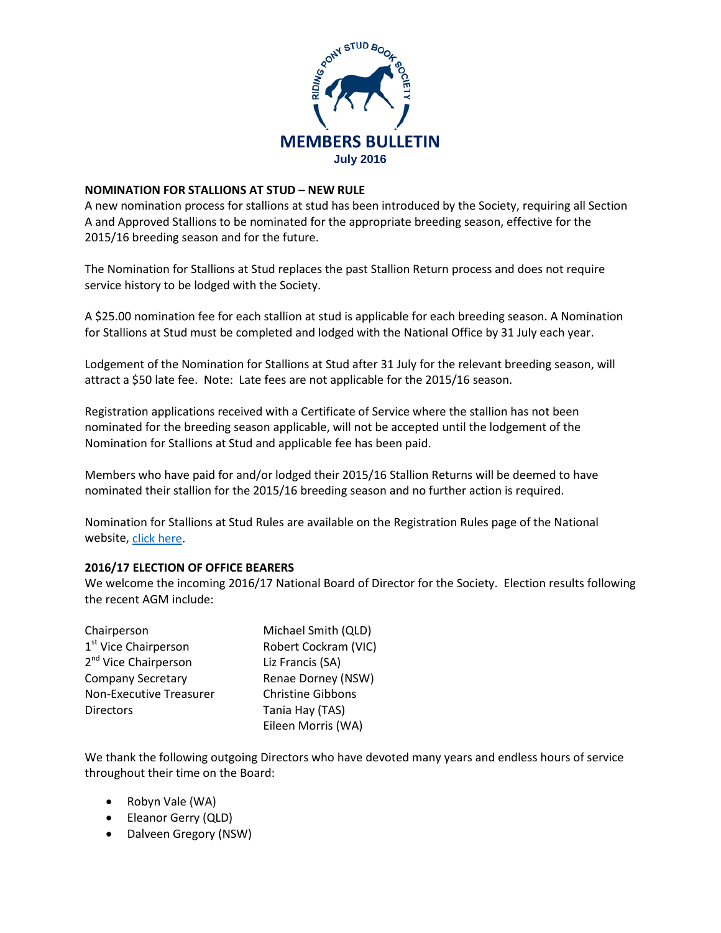

# **NOMINATION FOR STALLIONS AT STUD – NEW RULE**

A new nomination process for stallions at stud has been introduced by the Society, requiring all Section A and Approved Stallions to be nominated for the appropriate breeding season, effective for the 2015/16 breeding season and for the future.

The Nomination for Stallions at Stud replaces the past Stallion Return process and does not require service history to be lodged with the Society.

A \$25.00 nomination fee for each stallion at stud is applicable for each breeding season. A Nomination for Stallions at Stud must be completed and lodged with the National Office by 31 July each year.

Lodgement of the Nomination for Stallions at Stud after 31 July for the relevant breeding season, will attract a \$50 late fee. Note: Late fees are not applicable for the 2015/16 season.

Registration applications received with a Certificate of Service where the stallion has not been nominated for the breeding season applicable, will not be accepted until the lodgement of the Nomination for Stallions at Stud and applicable fee has been paid.

Members who have paid for and/or lodged their 2015/16 Stallion Returns will be deemed to have nominated their stallion for the 2015/16 breeding season and no further action is required.

Nomination for Stallions at Stud Rules are available on the Registration Rules page of the National website, [click here.](http://www.rpsbs.com.au/registration.html)

# **2016/17 ELECTION OF OFFICE BEARERS**

We welcome the incoming 2016/17 National Board of Director for the Society. Election results following the recent AGM include:

| Chairperson                      | Michael Smith (QLD)      |
|----------------------------------|--------------------------|
| 1 <sup>st</sup> Vice Chairperson | Robert Cockram (VIC)     |
| 2 <sup>nd</sup> Vice Chairperson | Liz Francis (SA)         |
| <b>Company Secretary</b>         | Renae Dorney (NSW)       |
| <b>Non-Executive Treasurer</b>   | <b>Christine Gibbons</b> |
| <b>Directors</b>                 | Tania Hay (TAS)          |
|                                  | Eileen Morris (WA)       |

We thank the following outgoing Directors who have devoted many years and endless hours of service throughout their time on the Board:

- Robyn Vale (WA)
- Eleanor Gerry (QLD)
- Dalveen Gregory (NSW)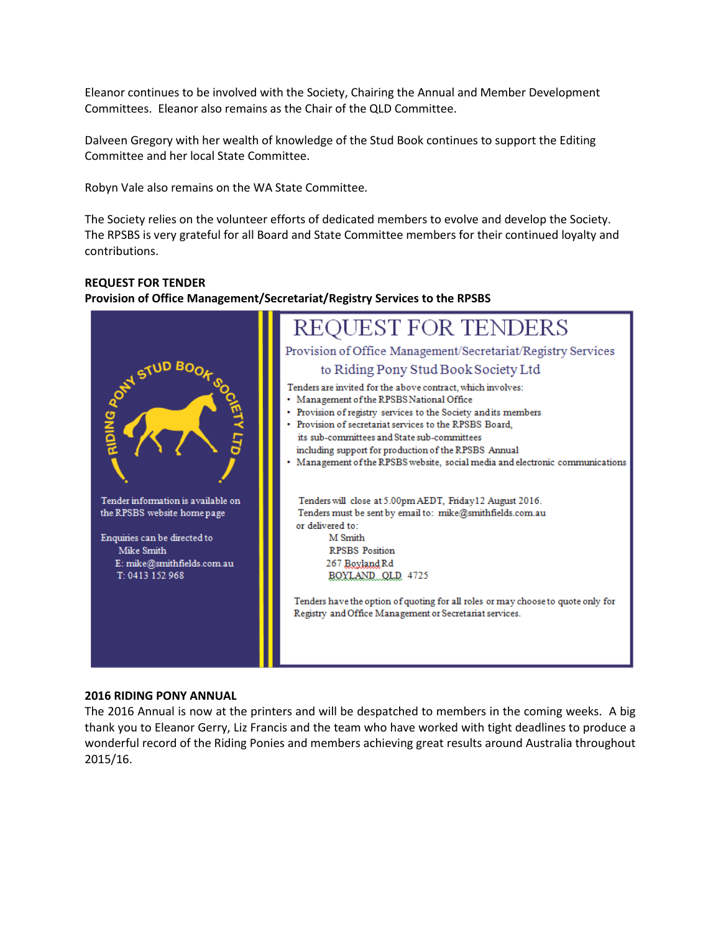Eleanor continues to be involved with the Society, Chairing the Annual and Member Development Committees. Eleanor also remains as the Chair of the QLD Committee.

Dalveen Gregory with her wealth of knowledge of the Stud Book continues to support the Editing Committee and her local State Committee.

Robyn Vale also remains on the WA State Committee.

The Society relies on the volunteer efforts of dedicated members to evolve and develop the Society. The RPSBS is very grateful for all Board and State Committee members for their continued loyalty and contributions.

#### **REQUEST FOR TENDER**

## **Provision of Office Management/Secretariat/Registry Services to the RPSBS**



### **2016 RIDING PONY ANNUAL**

The 2016 Annual is now at the printers and will be despatched to members in the coming weeks. A big thank you to Eleanor Gerry, Liz Francis and the team who have worked with tight deadlines to produce a wonderful record of the Riding Ponies and members achieving great results around Australia throughout 2015/16.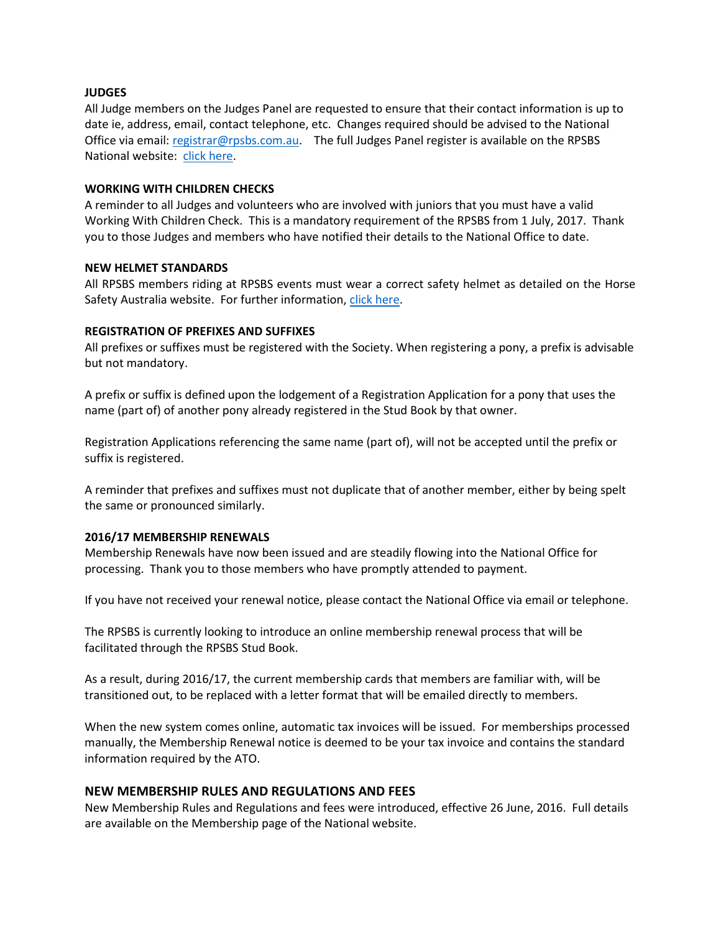## **JUDGES**

All Judge members on the Judges Panel are requested to ensure that their contact information is up to date ie, address, email, contact telephone, etc. Changes required should be advised to the National Office via email: [registrar@rpsbs.com.au.](mailto:registrar@rpsbs.com.au) The full Judges Panel register is available on the RPSBS National website: [click here.](http://www.rpsbs.com.au/national-judges.html)

### **WORKING WITH CHILDREN CHECKS**

A reminder to all Judges and volunteers who are involved with juniors that you must have a valid Working With Children Check. This is a mandatory requirement of the RPSBS from 1 July, 2017. Thank you to those Judges and members who have notified their details to the National Office to date.

#### **NEW HELMET STANDARDS**

All RPSBS members riding at RPSBS events must wear a correct safety helmet as detailed on the Horse Safety Australia website. For further information, [click here.](http://www.horsesafetyaustralia.com.au/)

## **REGISTRATION OF PREFIXES AND SUFFIXES**

All prefixes or suffixes must be registered with the Society. When registering a pony, a prefix is advisable but not mandatory.

A prefix or suffix is defined upon the lodgement of a Registration Application for a pony that uses the name (part of) of another pony already registered in the Stud Book by that owner.

Registration Applications referencing the same name (part of), will not be accepted until the prefix or suffix is registered.

A reminder that prefixes and suffixes must not duplicate that of another member, either by being spelt the same or pronounced similarly.

#### **2016/17 MEMBERSHIP RENEWALS**

Membership Renewals have now been issued and are steadily flowing into the National Office for processing. Thank you to those members who have promptly attended to payment.

If you have not received your renewal notice, please contact the National Office via email or telephone.

The RPSBS is currently looking to introduce an online membership renewal process that will be facilitated through the RPSBS Stud Book.

As a result, during 2016/17, the current membership cards that members are familiar with, will be transitioned out, to be replaced with a letter format that will be emailed directly to members.

When the new system comes online, automatic tax invoices will be issued. For memberships processed manually, the Membership Renewal notice is deemed to be your tax invoice and contains the standard information required by the ATO.

# **NEW MEMBERSHIP RULES AND REGULATIONS AND FEES**

New Membership Rules and Regulations and fees were introduced, effective 26 June, 2016. Full details are available on the Membership page of the National website.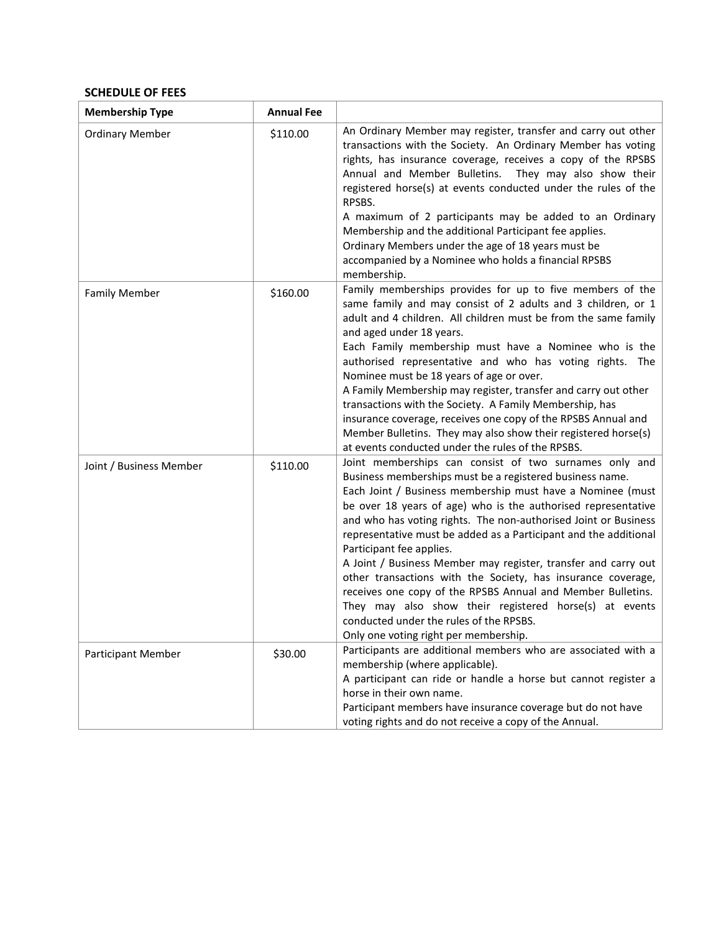# **SCHEDULE OF FEES**

| <b>Membership Type</b>    | <b>Annual Fee</b> |                                                                                                                                                                                                                                                                                                                                                                                                                                                                                                                                                                                                                                                                                                                                                                     |
|---------------------------|-------------------|---------------------------------------------------------------------------------------------------------------------------------------------------------------------------------------------------------------------------------------------------------------------------------------------------------------------------------------------------------------------------------------------------------------------------------------------------------------------------------------------------------------------------------------------------------------------------------------------------------------------------------------------------------------------------------------------------------------------------------------------------------------------|
| <b>Ordinary Member</b>    | \$110.00          | An Ordinary Member may register, transfer and carry out other<br>transactions with the Society. An Ordinary Member has voting<br>rights, has insurance coverage, receives a copy of the RPSBS<br>Annual and Member Bulletins.<br>They may also show their<br>registered horse(s) at events conducted under the rules of the<br>RPSBS.<br>A maximum of 2 participants may be added to an Ordinary<br>Membership and the additional Participant fee applies.<br>Ordinary Members under the age of 18 years must be<br>accompanied by a Nominee who holds a financial RPSBS<br>membership.                                                                                                                                                                             |
| <b>Family Member</b>      | \$160.00          | Family memberships provides for up to five members of the<br>same family and may consist of 2 adults and 3 children, or 1<br>adult and 4 children. All children must be from the same family<br>and aged under 18 years.<br>Each Family membership must have a Nominee who is the<br>authorised representative and who has voting rights. The<br>Nominee must be 18 years of age or over.<br>A Family Membership may register, transfer and carry out other<br>transactions with the Society. A Family Membership, has<br>insurance coverage, receives one copy of the RPSBS Annual and<br>Member Bulletins. They may also show their registered horse(s)<br>at events conducted under the rules of the RPSBS.                                                      |
| Joint / Business Member   | \$110.00          | Joint memberships can consist of two surnames only and<br>Business memberships must be a registered business name.<br>Each Joint / Business membership must have a Nominee (must<br>be over 18 years of age) who is the authorised representative<br>and who has voting rights. The non-authorised Joint or Business<br>representative must be added as a Participant and the additional<br>Participant fee applies.<br>A Joint / Business Member may register, transfer and carry out<br>other transactions with the Society, has insurance coverage,<br>receives one copy of the RPSBS Annual and Member Bulletins.<br>They may also show their registered horse(s) at events<br>conducted under the rules of the RPSBS.<br>Only one voting right per membership. |
| <b>Participant Member</b> | \$30.00           | Participants are additional members who are associated with a<br>membership (where applicable).<br>A participant can ride or handle a horse but cannot register a<br>horse in their own name.<br>Participant members have insurance coverage but do not have<br>voting rights and do not receive a copy of the Annual.                                                                                                                                                                                                                                                                                                                                                                                                                                              |